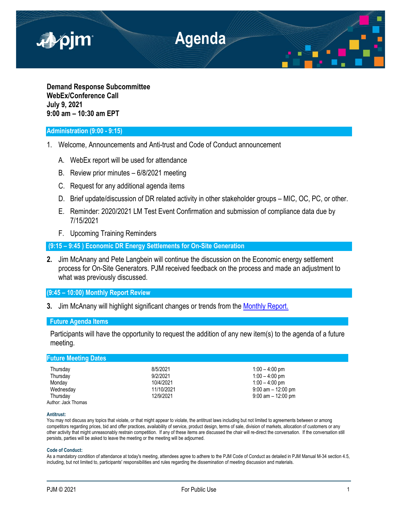

**Demand Response Subcommittee WebEx/Conference Call July 9, 2021 9:00 am – 10:30 am EPT**

## **Administration (9:00 - 9:15)**

- 1. Welcome, Announcements and Anti-trust and Code of Conduct announcement
	- A. WebEx report will be used for attendance
	- B. Review prior minutes 6/8/2021 meeting
	- C. Request for any additional agenda items
	- D. Brief update/discussion of DR related activity in other stakeholder groups MIC, OC, PC, or other.
	- E. Reminder: 2020/2021 LM Test Event Confirmation and submission of compliance data due by 7/15/2021
	- F. Upcoming Training Reminders

**(9:15 – 9:45 ) Economic DR Energy Settlements for On-Site Generation** 

**2.** Jim McAnany and Pete Langbein will continue the discussion on the Economic energy settlement process for On-Site Generators. PJM received feedback on the process and made an adjustment to what was previously discussed.

# **(9:45 – 10:00) Monthly Report Review**

**3.** Jim McAnany will highlight significant changes or trends from the [Monthly Report.](https://www.pjm.com/-/media/markets-ops/dsr/2021-demand-response-activity-report.ashx)

## **Future Agenda Items**

Participants will have the opportunity to request the addition of any new item(s) to the agenda of a future meeting.

| <b>Future Meeting Dates</b> |            |                       |  |
|-----------------------------|------------|-----------------------|--|
| Thursday                    | 8/5/2021   | $1:00 - 4:00$ pm      |  |
| Thursday                    | 9/2/2021   | $1:00 - 4:00$ pm      |  |
| Monday                      | 10/4/2021  | $1:00 - 4:00$ pm      |  |
| Wednesday                   | 11/10/2021 | $9:00$ am $-12:00$ pm |  |
| Thursday                    | 12/9/2021  | $9:00$ am $-12:00$ pm |  |
| Author: Jack Thomas         |            |                       |  |

#### **Antitrust:**

You may not discuss any topics that violate, or that might appear to violate, the antitrust laws including but not limited to agreements between or among competitors regarding prices, bid and offer practices, availability of service, product design, terms of sale, division of markets, allocation of customers or any other activity that might unreasonably restrain competition. If any of these items are discussed the chair will re-direct the conversation. If the conversation still persists, parties will be asked to leave the meeting or the meeting will be adjourned.

#### **Code of Conduct:**

As a mandatory condition of attendance at today's meeting, attendees agree to adhere to the PJM Code of Conduct as detailed in PJM Manual M-34 section 4.5, including, but not limited to, participants' responsibilities and rules regarding the dissemination of meeting discussion and materials.